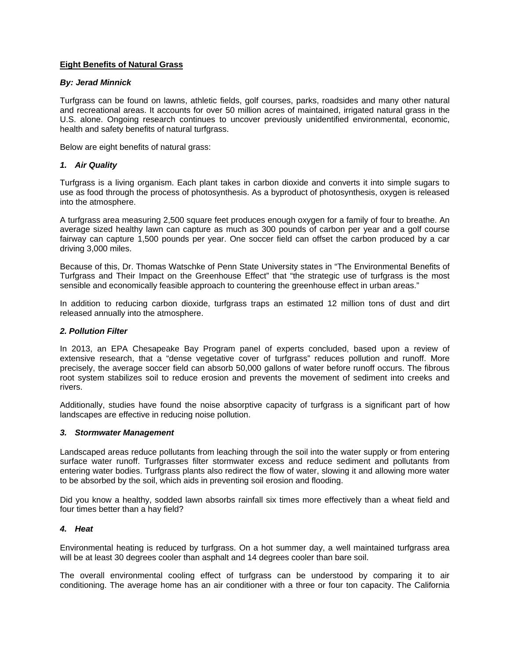# **Eight Benefits of Natural Grass**

## *By: Jerad Minnick*

Turfgrass can be found on lawns, athletic fields, golf courses, parks, roadsides and many other natural and recreational areas. It accounts for over 50 million acres of maintained, irrigated natural grass in the U.S. alone. Ongoing research continues to uncover previously unidentified environmental, economic, health and safety benefits of natural turfgrass.

Below are eight benefits of natural grass:

## *1. Air Quality*

Turfgrass is a living organism. Each plant takes in carbon dioxide and converts it into simple sugars to use as food through the process of photosynthesis. As a byproduct of photosynthesis, oxygen is released into the atmosphere.

A turfgrass area measuring 2,500 square feet produces enough oxygen for a family of four to breathe. An average sized healthy lawn can capture as much as 300 pounds of carbon per year and a golf course fairway can capture 1,500 pounds per year. One soccer field can offset the carbon produced by a car driving 3,000 miles.

Because of this, Dr. Thomas Watschke of Penn State University states in "The Environmental Benefits of Turfgrass and Their Impact on the Greenhouse Effect" that "the strategic use of turfgrass is the most sensible and economically feasible approach to countering the greenhouse effect in urban areas."

In addition to reducing carbon dioxide, turfgrass traps an estimated 12 million tons of dust and dirt released annually into the atmosphere.

### *2. Pollution Filter*

In 2013, an EPA Chesapeake Bay Program panel of experts concluded, based upon a review of extensive research, that a "dense vegetative cover of turfgrass" reduces pollution and runoff. More precisely, the average soccer field can absorb 50,000 gallons of water before runoff occurs. The fibrous root system stabilizes soil to reduce erosion and prevents the movement of sediment into creeks and rivers.

Additionally, studies have found the noise absorptive capacity of turfgrass is a significant part of how landscapes are effective in reducing noise pollution.

### *3. Stormwater Management*

Landscaped areas reduce pollutants from leaching through the soil into the water supply or from entering surface water runoff. Turfgrasses filter stormwater excess and reduce sediment and pollutants from entering water bodies. Turfgrass plants also redirect the flow of water, slowing it and allowing more water to be absorbed by the soil, which aids in preventing soil erosion and flooding.

Did you know a healthy, sodded lawn absorbs rainfall six times more effectively than a wheat field and four times better than a hay field?

### *4. Heat*

Environmental heating is reduced by turfgrass. On a hot summer day, a well maintained turfgrass area will be at least 30 degrees cooler than asphalt and 14 degrees cooler than bare soil.

The overall environmental cooling effect of turfgrass can be understood by comparing it to air conditioning. The average home has an air conditioner with a three or four ton capacity. The California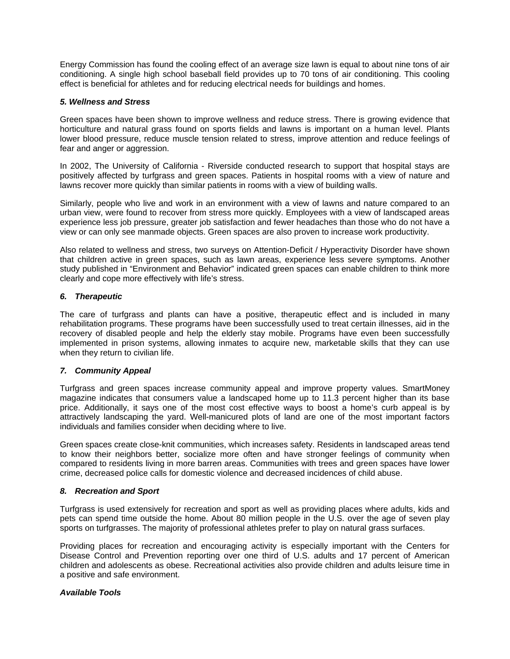Energy Commission has found the cooling effect of an average size lawn is equal to about nine tons of air conditioning. A single high school baseball field provides up to 70 tons of air conditioning. This cooling effect is beneficial for athletes and for reducing electrical needs for buildings and homes.

## *5. Wellness and Stress*

Green spaces have been shown to improve wellness and reduce stress. There is growing evidence that horticulture and natural grass found on sports fields and lawns is important on a human level. Plants lower blood pressure, reduce muscle tension related to stress, improve attention and reduce feelings of fear and anger or aggression.

In 2002, The University of California - Riverside conducted research to support that hospital stays are positively affected by turfgrass and green spaces. Patients in hospital rooms with a view of nature and lawns recover more quickly than similar patients in rooms with a view of building walls.

Similarly, people who live and work in an environment with a view of lawns and nature compared to an urban view, were found to recover from stress more quickly. Employees with a view of landscaped areas experience less job pressure, greater job satisfaction and fewer headaches than those who do not have a view or can only see manmade objects. Green spaces are also proven to increase work productivity.

Also related to wellness and stress, two surveys on Attention-Deficit / Hyperactivity Disorder have shown that children active in green spaces, such as lawn areas, experience less severe symptoms. Another study published in "Environment and Behavior" indicated green spaces can enable children to think more clearly and cope more effectively with life's stress.

# *6. Therapeutic*

The care of turfgrass and plants can have a positive, therapeutic effect and is included in many rehabilitation programs. These programs have been successfully used to treat certain illnesses, aid in the recovery of disabled people and help the elderly stay mobile. Programs have even been successfully implemented in prison systems, allowing inmates to acquire new, marketable skills that they can use when they return to civilian life.

# *7. Community Appeal*

Turfgrass and green spaces increase community appeal and improve property values. SmartMoney magazine indicates that consumers value a landscaped home up to 11.3 percent higher than its base price. Additionally, it says one of the most cost effective ways to boost a home's curb appeal is by attractively landscaping the yard. Well-manicured plots of land are one of the most important factors individuals and families consider when deciding where to live.

Green spaces create close-knit communities, which increases safety. Residents in landscaped areas tend to know their neighbors better, socialize more often and have stronger feelings of community when compared to residents living in more barren areas. Communities with trees and green spaces have lower crime, decreased police calls for domestic violence and decreased incidences of child abuse.

## *8. Recreation and Sport*

Turfgrass is used extensively for recreation and sport as well as providing places where adults, kids and pets can spend time outside the home. About 80 million people in the U.S. over the age of seven play sports on turfgrasses. The majority of professional athletes prefer to play on natural grass surfaces.

Providing places for recreation and encouraging activity is especially important with the Centers for Disease Control and Prevention reporting over one third of U.S. adults and 17 percent of American children and adolescents as obese. Recreational activities also provide children and adults leisure time in a positive and safe environment.

# *Available Tools*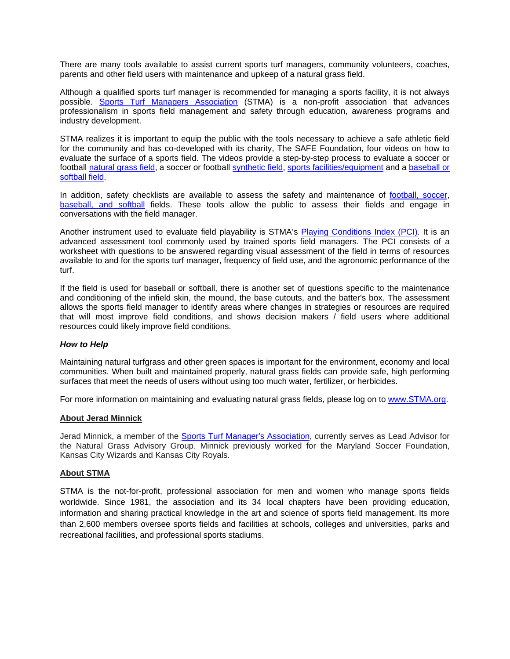There are many tools available to assist current sports turf managers, community volunteers, coaches, parents and other field users with maintenance and upkeep of a natural grass field.

Although a qualified sports turf manager is recommended for managing a sports facility, it is not always possible. [Sports Turf Managers Association](http://www.stma.org/) (STMA) is a non-profit association that advances professionalism in sports field management and safety through education, awareness programs and industry development.

STMA realizes it is important to equip the public with the tools necessary to achieve a safe athletic field for the community and has co-developed with its charity, The SAFE Foundation, four videos on how to evaluate the surface of a sports field. The videos provide a step-by-step process to evaluate a soccer or football [natural grass](http://www.stma.org/the-safe-foundation) field, a soccer or football [synthetic field, sports facilities/equipment](http://www.stma.org/the-safe-foundation) and a [baseball or](https://www.youtube.com/watch?v=h87z6JV4hx0)  [softball field.](https://www.youtube.com/watch?v=h87z6JV4hx0)

In addition, safety checklists are available to assess the safety and maintenance of [football, soccer,](http://www.stma.org/sites/stma/files/STMA_Bulletins/FootballSoccerFieldSafety_SAFE.pdf) [baseball, and softball](http://www.stma.org/sites/stma/files/STMA_Bulletins/BaseballSoftball_Field_SafetyandMaintenance_Checklist_3.pdf) fields. These tools allow the public to assess their fields and engage in conversations with the field manager.

Another instrument used to evaluate field playability is STMA's [Playing Conditions Index \(PCI\).](http://www.stma.org/playing-conditions-index-pci) It is an advanced assessment tool commonly used by trained sports field managers. The PCI consists of a worksheet with questions to be answered regarding visual assessment of the field in terms of resources available to and for the sports turf manager, frequency of field use, and the agronomic performance of the turf.

If the field is used for baseball or softball, there is another set of questions specific to the maintenance and conditioning of the infield skin, the mound, the base cutouts, and the batter's box. The assessment allows the sports field manager to identify areas where changes in strategies or resources are required that will most improve field conditions, and shows decision makers / field users where additional resources could likely improve field conditions.

## *How to Help*

Maintaining natural turfgrass and other green spaces is important for the environment, economy and local communities. When built and maintained properly, natural grass fields can provide safe, high performing surfaces that meet the needs of users without using too much water, fertilizer, or herbicides.

For more information on maintaining and evaluating natural grass fields, please log on to [www.STMA.org.](http://www.stma.org/)

## **About Jerad Minnick**

Jerad Minnick, a member of the [Sports Turf Manager's Association,](http://www.stma.org/) currently serves as Lead Advisor for the Natural Grass Advisory Group. Minnick previously worked for the Maryland Soccer Foundation, Kansas City Wizards and Kansas City Royals.

## **About STMA**

STMA is the not-for-profit, professional association for men and women who manage sports fields worldwide. Since 1981, the association and its 34 local chapters have been providing education, information and sharing practical knowledge in the art and science of sports field management. Its more than 2,600 members oversee sports fields and facilities at schools, colleges and universities, parks and recreational facilities, and professional sports stadiums.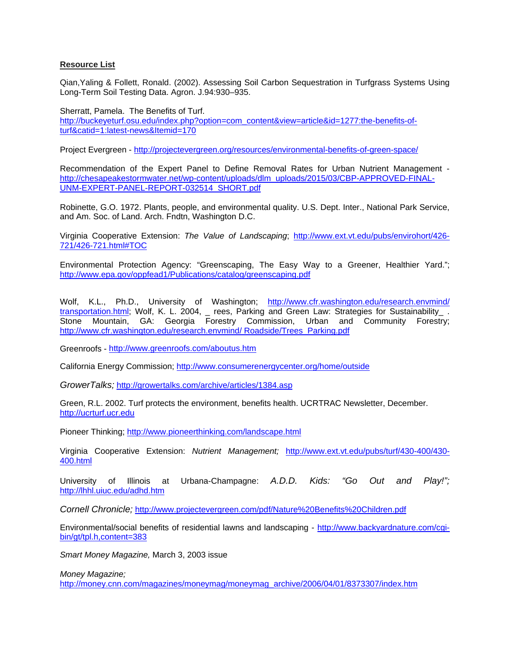# **Resource List**

Qian,Yaling & Follett, Ronald. (2002). Assessing Soil Carbon Sequestration in Turfgrass Systems Using Long-Term Soil Testing Data. Agron. J.94:930–935.

Sherratt, Pamela. The Benefits of Turf. [http://buckeyeturf.osu.edu/index.php?option=com\\_content&view=article&id=1277:the-benefits-of](http://buckeyeturf.osu.edu/index.php?option=com_content&view=article&id=1277:the-benefits-of-turf&catid=1:latest-news&Itemid=170)[turf&catid=1:latest-news&Itemid=170](http://buckeyeturf.osu.edu/index.php?option=com_content&view=article&id=1277:the-benefits-of-turf&catid=1:latest-news&Itemid=170)

Project Evergreen - <http://projectevergreen.org/resources/environmental-benefits-of-green-space/>

Recommendation of the Expert Panel to Define Removal Rates for Urban Nutrient Management [http://chesapeakestormwater.net/wp-content/uploads/dlm\\_uploads/2015/03/CBP-APPROVED-FINAL-](http://chesapeakestormwater.net/wp-content/uploads/dlm_uploads/2015/03/CBP-APPROVED-FINAL-UNM-EXPERT-PANEL-REPORT-032514_SHORT.pdf)[UNM-EXPERT-PANEL-REPORT-032514\\_SHORT.pdf](http://chesapeakestormwater.net/wp-content/uploads/dlm_uploads/2015/03/CBP-APPROVED-FINAL-UNM-EXPERT-PANEL-REPORT-032514_SHORT.pdf)

Robinette, G.O. 1972. Plants, people, and environmental quality. U.S. Dept. Inter., National Park Service, and Am. Soc. of Land. Arch. Fndtn, Washington D.C.

Virginia Cooperative Extension: *The Value of Landscaping*; [http://www.ext.vt.edu/pubs/envirohort/426-](http://www.ext.vt.edu/pubs/envirohort/426-721/426-721.html#TOC) [721/426-721.html#TOC](http://www.ext.vt.edu/pubs/envirohort/426-721/426-721.html#TOC)

Environmental Protection Agency: "Greenscaping, The Easy Way to a Greener, Healthier Yard."; <http://www.epa.gov/oppfead1/Publications/catalog/greenscaping.pdf>

Wolf, K.L., Ph.D., University of Washington; http://www.cfr.washington.edu/research.envmind/ <u>transportation.html</u>; Wolf, K. L. 2004, \_ rees, Parking and Green Law: Strategies for Sustainability\_ . Stone Mountain, GA: Georgia Forestry Commission, Urban and Community Forestry; [http://www.cfr.washington.edu/research.envmind/ Roadside/Trees\\_Parking.pdf](http://www.cfr.washington.edu/research.envmind/%20Roadside/Trees_Parking.pdf)

Greenroofs - <http://www.greenroofs.com/aboutus.htm>

California Energy Commission;<http://www.consumerenergycenter.org/home/outside>

*GrowerTalks;* <http://growertalks.com/archive/articles/1384.asp>

Green, R.L. 2002. Turf protects the environment, benefits health. UCRTRAC Newsletter, December. [http://ucrturf.ucr.edu](http://ucrturf.ucr.edu/)

Pioneer Thinking;<http://www.pioneerthinking.com/landscape.html>

Virginia Cooperative Extension: *Nutrient Management;* [http://www.ext.vt.edu/pubs/turf/430-400/430-](http://www.ext.vt.edu/pubs/turf/430-400/430-400.html) [400.html](http://www.ext.vt.edu/pubs/turf/430-400/430-400.html)

University of Illinois at Urbana-Champagne: *A.D.D. Kids: "Go Out and Play!";* <http://lhhl.uiuc.edu/adhd.htm>

*Cornell Chronicle;* [http://www.projectevergreen.com/pdf/Nature%20Benefits%20Children.pdf](http://www.projectevergreen.com/resources/Nature%20Benefits%20Children.pdf) 

Environmental/social benefits of residential lawns and landscaping - [http://www.backyardnature.com/cgi](http://www.backyardnature.com/cgi-bin/gt/tpl.h,content=383)[bin/gt/tpl.h,content=383](http://www.backyardnature.com/cgi-bin/gt/tpl.h,content=383)

*Smart Money Magazine,* March 3, 2003 issue

*Money Magazine;*

[http://money.cnn.com/magazines/moneymag/moneymag\\_archive/2006/04/01/8373307/index.htm](http://money.cnn.com/magazines/moneymag/moneymag_archive/2006/04/01/8373307/index.htm)